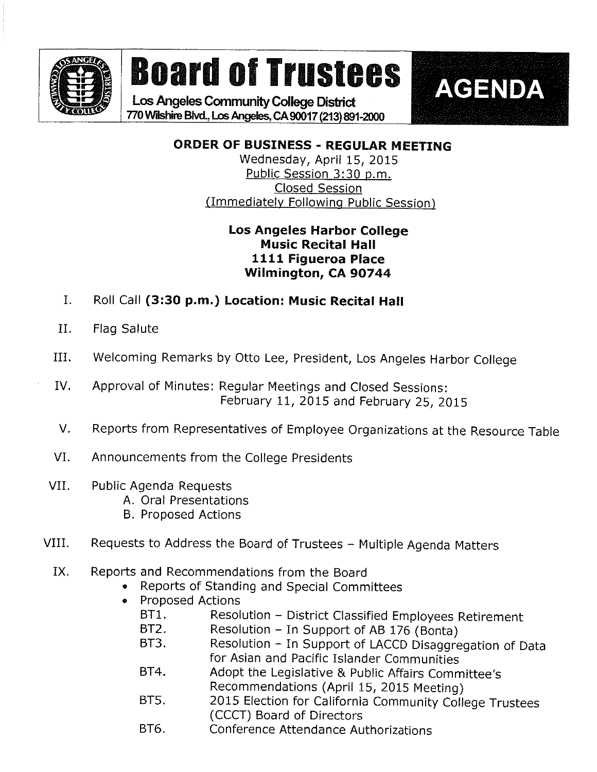

## Board of Trustees | AGENDA

Los Angeles Community College District 770 Wilshire Blvd., Los Angeles, CA 90017 (213) 891-2000

ORDER OF BUSINESS - REGULAR MEETING

Wednesday, April 15, 2015 Public Session 3:30 p.m. Closed Session (Immediately Following Public Session)

## Los Angeles Harbor College Music Recital Hall 1111 Figueroa Place Wilmington, CA 90744

- I. Roll Call (3:30 p.m.) Location: Music Recital Hall
- II. Flag Salute
- HII. Welcoming Remarks by Otto Lee, President, Los Angeles Harbor College
- IV, Approval of Minutes: Regular Meetings and Closed Sessions: February 11, 2015 and February 25, 2015
- V. Reports from Representatives of Employee Organizations at the Resource Table
- VI. Announcements from the College Presidents
- VII. Public Agenda Requests
	- A. Oral Presentations
	- B. Proposed Actions
- VIII. Requests to Address the Board of Trustees Multiple Agenda Matters
	- IX. Reports and Recommendations from the Board
		- . Reports of Standing and Special Committees
		- . Proposed Actions
			- BT1. Resolution District Classified Employees Retirement<br>BT2. Resolution In Support of AB 176 (Bonta)
			- BT2. Resolution In Support of AB 176 (Bonta)<br>BT3. Resolution In Support of LACCD Disaggre
			- Resolution In Support of LACCD Disaggregation of Data for Asian and Pacific Islander Communities
			- BT4. Adopt the Legislative & Public Affairs Committee's Recommendations (April 15, 2015 Meeting)
			-
			- BT5. 2015 Election for California Community College Trustees (CCCT) Board of Directors
			- BT6. Conference Attendance Authorizations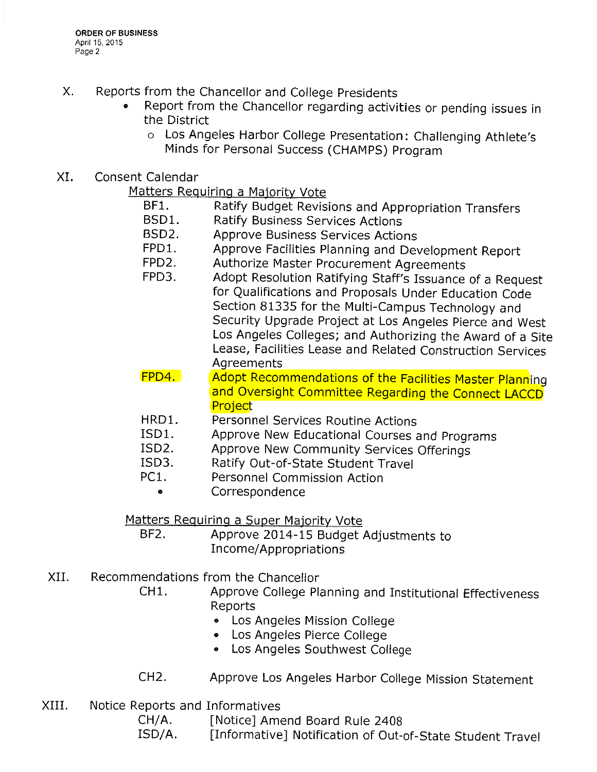- X. Reports from the Chancellor and College Presidents
	- » Report from the Chancellor regarding activities or pending issues in the District
		- o Los Angeles Harbor College Presentation: Challenging Athlete's Minds for Personal Success (CHAMPS) Program
- XI. Consent Calendar

Matters Requiring a Majority Vote

- BF1. Ratify Budget Revisions and Appropriation Transfers<br>BSD1. Ratify Business Services Actions
- Ratify Business Services Actions
- BSD2. Approve Business Services Actions
- FPD1. Approve Facilities Planning and Development Report<br>FPD2. Authorize Master Procurement Agreements
- FPD2. Authorize Master Procurement Agreements<br>FPD3. Adopt Resolution Ratifying Staff's Issuance
- Adopt Resolution Ratifying Staff's Issuance of a Request for Qualifications and Proposals Under Education Code Section 81335 for the Multi-Campus Technology and Security Upgrade Project at Los Angeles Pierce and West Los Angeles Colleges; and Authorizing the Award of a Site Lease, Facilities Lease and Related Construction Services Agreements
- FPD4. Adopt Recommendations of the Facilities Master Planning and Oversight Committee Regarding the Connect LACCD Project
- HRD1. Personnel Services Routine Actions
- ISD1. Approve New Educational Courses and Programs<br>ISD2. Approve New Community Services Offerings
- ISD2. Approve New Community Services Offerings<br>ISD3. Ratify Out-of-State Student Travel
- Ratify Out-of-State Student Travel
- PC1. Personnel Commission Action
	- ® Correspondence

Matters Requiring a Super Majority Vote

- BF2. Approve 2014-15 Budget Adjustments to Income/Appropriations
- XII. Recommendations from the Chancellor
	- CH1. Approve College Planning and Institutional Effectiveness Reports
		- ® Los Angeles Mission Coliege
		- ® Los Angeies Pierce College
		- Los Angeles Southwest College
	- CH2. Approve Los Angeles Harbor College Mission Statement
- XIII. Notice Reports and Informatives

CH/A. [Notice] Amend Board Rule 2408

ISD/A. [Informative] Notification of Out-of-State Student Travel